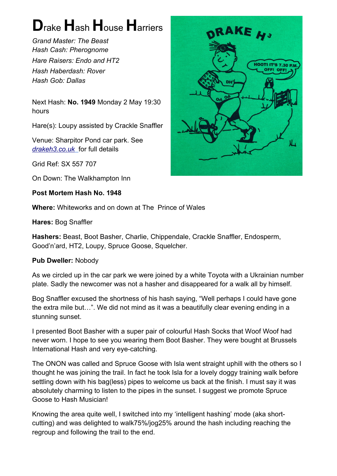## **D**rake **H**ash **H**ouse **H**arriers

*Grand Master: The Beast Hash Cash: Pherognome Hare Raisers: Endo and HT2 Hash Haberdash: Rover Hash Gob: Dallas*

Next Hash: **No. 1949** Monday 2 May 19:30 hours

Hare(s): Loupy assisted by Crackle Snaffler

Venue: Sharpitor Pond car park. See  *[drakeh3.co.uk](http://drakeh3.co.uk/)* for full details

Grid Ref: SX 557 707

On Down: The Walkhampton Inn

**Post Mortem Hash No. 1948**

**Where:** Whiteworks and on down at The Prince of Wales

**Hares:** Bog Snaffler

**Hashers:** Beast, Boot Basher, Charlie, Chippendale, Crackle Snaffler, Endosperm, Good'n'ard, HT2, Loupy, Spruce Goose, Squelcher.

## **Pub Dweller:** Nobody

As we circled up in the car park we were joined by a white Toyota with a Ukrainian number plate. Sadly the newcomer was not a hasher and disappeared for a walk all by himself.

Bog Snaffler excused the shortness of his hash saying, "Well perhaps I could have gone the extra mile but…". We did not mind as it was a beautifully clear evening ending in a stunning sunset.

I presented Boot Basher with a super pair of colourful Hash Socks that Woof Woof had never worn. I hope to see you wearing them Boot Basher. They were bought at Brussels International Hash and very eye-catching.

The ONON was called and Spruce Goose with Isla went straight uphill with the others so I thought he was joining the trail. In fact he took Isla for a lovely doggy training walk before settling down with his bag(less) pipes to welcome us back at the finish. I must say it was absolutely charming to listen to the pipes in the sunset. I suggest we promote Spruce Goose to Hash Musician!

Knowing the area quite well, I switched into my 'intelligent hashing' mode (aka shortcutting) and was delighted to walk75%/jog25% around the hash including reaching the regroup and following the trail to the end.